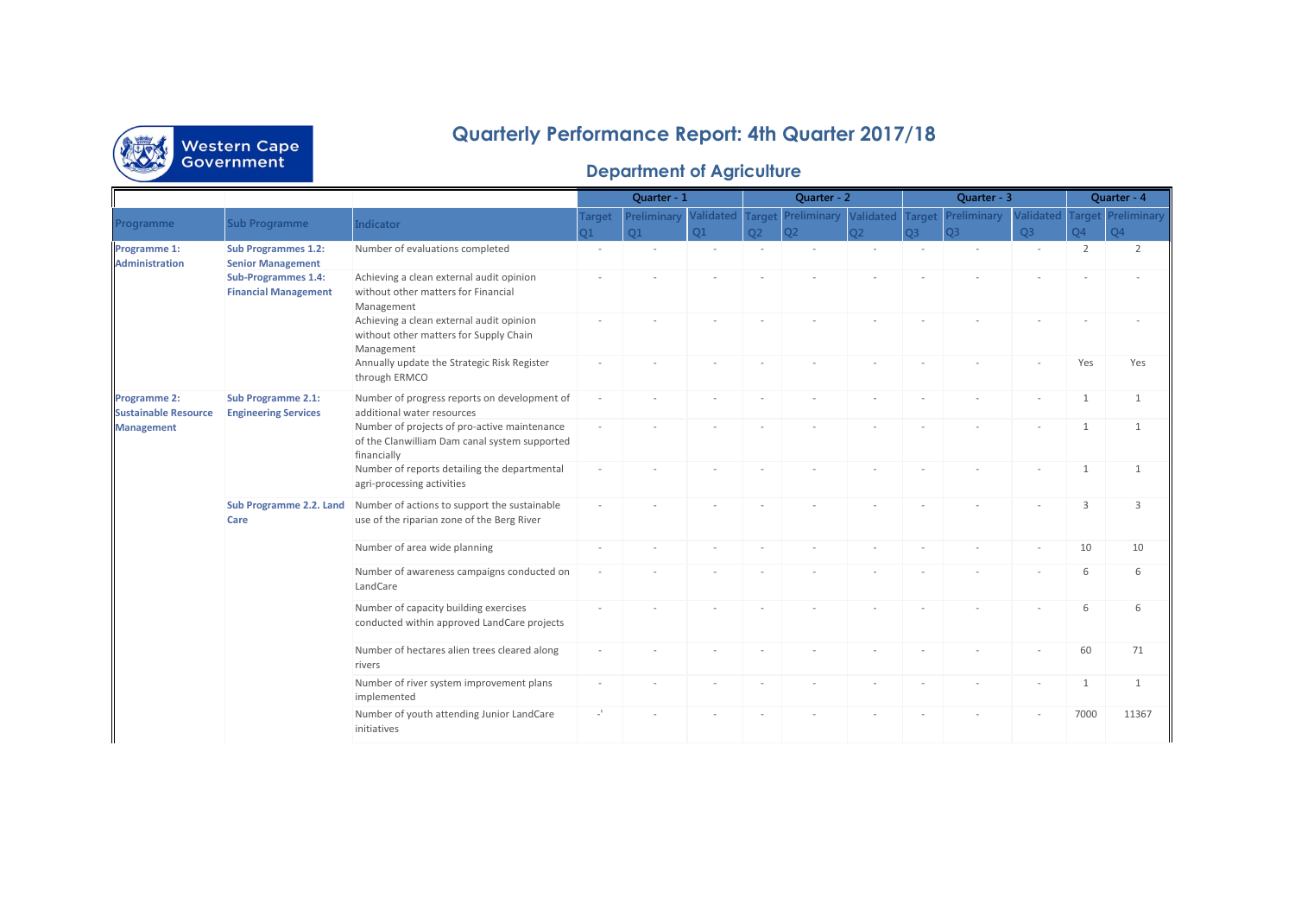

## **Quarterly Performance Report: 4th Quarter 2017/18**

## **Department of Agriculture**

|                                                    |                                                           |                                                                                                                    |                     | Quarter - 1       |                               |                | Quarter - 2                          |                         |           | Quarter - 3                          |                                           |                 | Quarter - 4              |
|----------------------------------------------------|-----------------------------------------------------------|--------------------------------------------------------------------------------------------------------------------|---------------------|-------------------|-------------------------------|----------------|--------------------------------------|-------------------------|-----------|--------------------------------------|-------------------------------------------|-----------------|--------------------------|
| <b>Programme</b>                                   | <b>Sub Programme</b>                                      | <b>Indicator</b>                                                                                                   | <b>Target</b><br>01 | Preliminary<br>01 | <b>Validated Target</b><br>O1 | O <sub>2</sub> | <b>Preliminary</b><br>O <sub>2</sub> | <b>Validated Target</b> | <b>PC</b> | <b>Preliminary</b><br>O <sub>3</sub> | <b>Validated Target</b><br>O <sub>3</sub> | $\overline{04}$ | Preliminary<br><b>O4</b> |
| Programme 1:<br>Administration                     | <b>Sub Programmes 1.2:</b><br><b>Senior Management</b>    | Number of evaluations completed                                                                                    |                     |                   |                               |                |                                      |                         |           |                                      |                                           | 2               | 2                        |
|                                                    | <b>Sub-Programmes 1.4:</b><br><b>Financial Management</b> | Achieving a clean external audit opinion<br>without other matters for Financial<br>Management                      |                     |                   |                               |                |                                      |                         |           |                                      |                                           |                 |                          |
|                                                    |                                                           | Achieving a clean external audit opinion<br>without other matters for Supply Chain<br>Management                   |                     |                   |                               |                |                                      |                         |           |                                      |                                           |                 |                          |
|                                                    |                                                           | Annually update the Strategic Risk Register<br>through ERMCO                                                       |                     |                   |                               |                |                                      |                         |           |                                      |                                           | Yes             | Yes                      |
| <b>Programme 2:</b><br><b>Sustainable Resource</b> | <b>Sub Programme 2.1:</b><br><b>Engineering Services</b>  | Number of progress reports on development of<br>additional water resources                                         |                     |                   |                               |                |                                      |                         |           |                                      |                                           | 1               | 1                        |
| <b>Management</b>                                  |                                                           | Number of projects of pro-active maintenance<br>of the Clanwilliam Dam canal system supported<br>financially       |                     |                   |                               |                |                                      |                         |           |                                      |                                           | -1              | 1                        |
|                                                    |                                                           | Number of reports detailing the departmental<br>agri-processing activities                                         |                     |                   |                               |                |                                      |                         |           |                                      |                                           | 1               | 1                        |
|                                                    | Care                                                      | Sub Programme 2.2. Land Number of actions to support the sustainable<br>use of the riparian zone of the Berg River |                     |                   |                               |                |                                      |                         |           |                                      |                                           | 3               | 3                        |
|                                                    |                                                           | Number of area wide planning                                                                                       |                     |                   |                               |                |                                      |                         |           |                                      |                                           | 10              | 10                       |
|                                                    |                                                           | Number of awareness campaigns conducted on<br>LandCare                                                             |                     |                   |                               |                |                                      |                         |           |                                      |                                           | 6               | 6                        |
|                                                    |                                                           | Number of capacity building exercises<br>conducted within approved LandCare projects                               |                     |                   |                               |                |                                      |                         |           |                                      |                                           | 6               | 6                        |
|                                                    |                                                           | Number of hectares alien trees cleared along<br>rivers                                                             |                     |                   |                               |                |                                      |                         |           |                                      |                                           | 60              | 71                       |
|                                                    |                                                           | Number of river system improvement plans<br>implemented                                                            |                     |                   |                               |                |                                      |                         |           |                                      |                                           | $\overline{1}$  | 1                        |
|                                                    |                                                           | Number of youth attending Junior LandCare<br>initiatives                                                           | u,                  |                   |                               |                |                                      |                         |           |                                      |                                           | 7000            | 11367                    |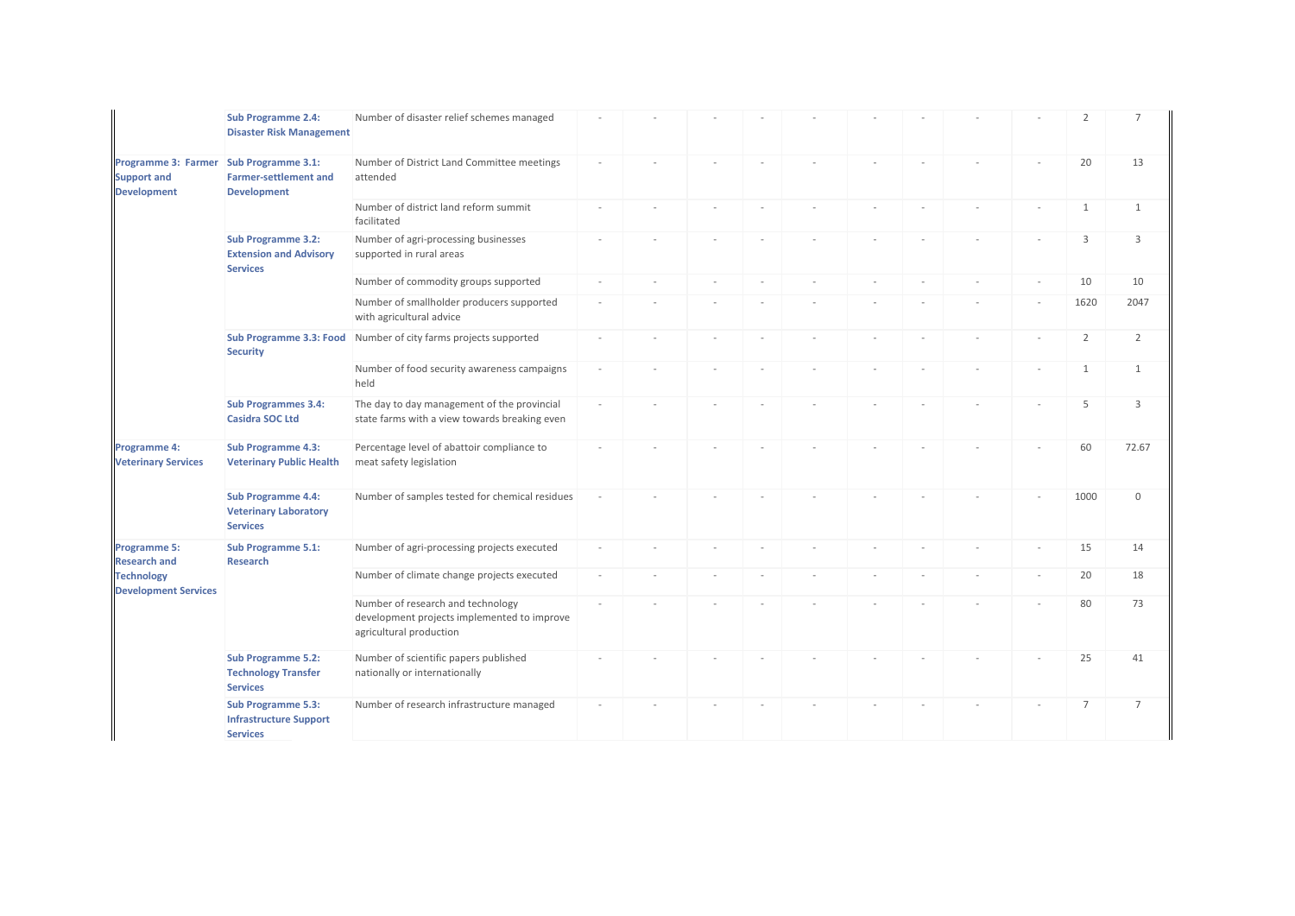|                                                                                    | <b>Sub Programme 2.4:</b><br><b>Disaster Risk Management</b>                  | Number of disaster relief schemes managed                                                                   |  |  |  |  |                | $\overline{7}$ |
|------------------------------------------------------------------------------------|-------------------------------------------------------------------------------|-------------------------------------------------------------------------------------------------------------|--|--|--|--|----------------|----------------|
| Programme 3: Farmer Sub Programme 3.1:<br><b>Support and</b><br><b>Development</b> | <b>Farmer-settlement and</b><br><b>Development</b>                            | Number of District Land Committee meetings<br>attended                                                      |  |  |  |  | 20             | 13             |
|                                                                                    |                                                                               | Number of district land reform summit<br>facilitated                                                        |  |  |  |  | $\mathbf{1}$   | 1              |
|                                                                                    | <b>Sub Programme 3.2:</b><br><b>Extension and Advisory</b><br><b>Services</b> | Number of agri-processing businesses<br>supported in rural areas                                            |  |  |  |  | $\overline{3}$ | 3              |
|                                                                                    |                                                                               | Number of commodity groups supported                                                                        |  |  |  |  | 10             | 10             |
|                                                                                    |                                                                               | Number of smallholder producers supported<br>with agricultural advice                                       |  |  |  |  | 1620           | 2047           |
|                                                                                    | <b>Security</b>                                                               | Sub Programme 3.3: Food Number of city farms projects supported                                             |  |  |  |  | 2              | $\overline{2}$ |
|                                                                                    |                                                                               | Number of food security awareness campaigns<br>held                                                         |  |  |  |  | $\mathbf{1}$   | 1              |
|                                                                                    | <b>Sub Programmes 3.4:</b><br><b>Casidra SOC Ltd</b>                          | The day to day management of the provincial<br>state farms with a view towards breaking even                |  |  |  |  | 5              | 3              |
| Programme 4:<br><b>Veterinary Services</b>                                         | <b>Sub Programme 4.3:</b><br><b>Veterinary Public Health</b>                  | Percentage level of abattoir compliance to<br>meat safety legislation                                       |  |  |  |  | 60             | 72.67          |
|                                                                                    | <b>Sub Programme 4.4:</b><br><b>Veterinary Laboratory</b><br><b>Services</b>  | Number of samples tested for chemical residues                                                              |  |  |  |  | 1000           | $\mathbf{0}$   |
| Programme 5:<br><b>Research and</b>                                                | <b>Sub Programme 5.1:</b><br><b>Research</b>                                  | Number of agri-processing projects executed                                                                 |  |  |  |  | 15             | 14             |
| <b>Technology</b><br><b>Development Services</b>                                   |                                                                               | Number of climate change projects executed                                                                  |  |  |  |  | 20             | 18             |
|                                                                                    |                                                                               | Number of research and technology<br>development projects implemented to improve<br>agricultural production |  |  |  |  | 80             | 73             |
|                                                                                    | <b>Sub Programme 5.2:</b><br><b>Technology Transfer</b><br><b>Services</b>    | Number of scientific papers published<br>nationally or internationally                                      |  |  |  |  | 25             | 41             |
|                                                                                    | Sub Programme 5.3:<br><b>Infrastructure Support</b><br><b>Services</b>        | Number of research infrastructure managed                                                                   |  |  |  |  | $\overline{7}$ | $\overline{7}$ |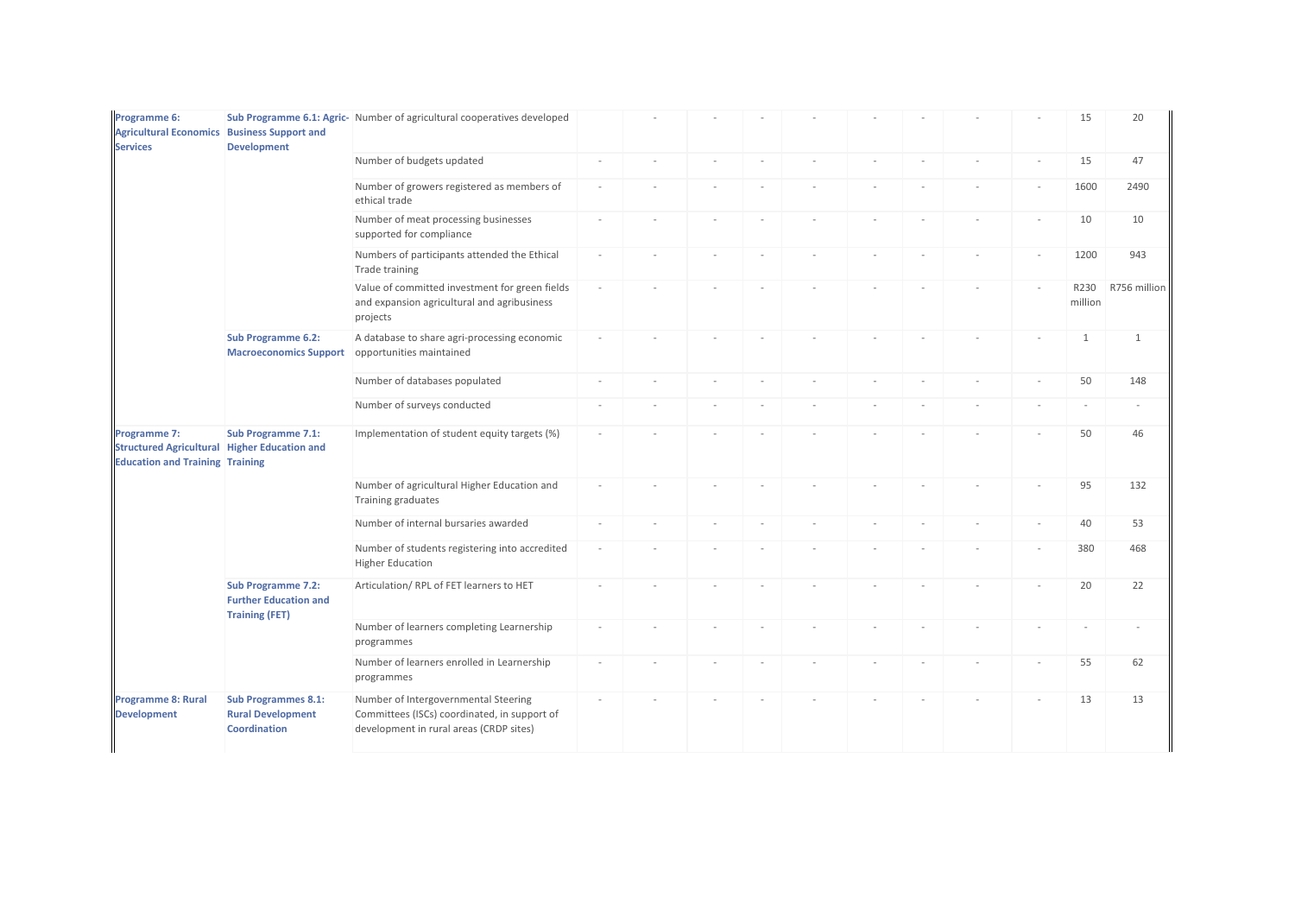| Programme 6:<br><b>Agricultural Economics Business Support and</b><br><b>Services</b>                         | <b>Development</b>                                                                 | Sub Programme 6.1: Agric- Number of agricultural cooperatives developed                                                         |  |  |  |  | 15              | 20                       |
|---------------------------------------------------------------------------------------------------------------|------------------------------------------------------------------------------------|---------------------------------------------------------------------------------------------------------------------------------|--|--|--|--|-----------------|--------------------------|
|                                                                                                               |                                                                                    | Number of budgets updated                                                                                                       |  |  |  |  | 15              | 47                       |
|                                                                                                               |                                                                                    | Number of growers registered as members of<br>ethical trade                                                                     |  |  |  |  | 1600            | 2490                     |
|                                                                                                               |                                                                                    | Number of meat processing businesses<br>supported for compliance                                                                |  |  |  |  | 10              | 10                       |
|                                                                                                               |                                                                                    | Numbers of participants attended the Ethical<br>Trade training                                                                  |  |  |  |  | 1200            | 943                      |
|                                                                                                               |                                                                                    | Value of committed investment for green fields<br>and expansion agricultural and agribusiness<br>projects                       |  |  |  |  | R230<br>million | R756 million             |
|                                                                                                               | Sub Programme 6.2:<br><b>Macroeconomics Support</b>                                | A database to share agri-processing economic<br>opportunities maintained                                                        |  |  |  |  | 1               | 1                        |
|                                                                                                               |                                                                                    | Number of databases populated                                                                                                   |  |  |  |  | 50              | 148                      |
|                                                                                                               |                                                                                    | Number of surveys conducted                                                                                                     |  |  |  |  |                 | $\overline{\phantom{a}}$ |
| Programme 7:<br><b>Structured Agricultural Higher Education and</b><br><b>Education and Training Training</b> | <b>Sub Programme 7.1:</b>                                                          | Implementation of student equity targets (%)                                                                                    |  |  |  |  | 50              | 46                       |
|                                                                                                               |                                                                                    | Number of agricultural Higher Education and<br>Training graduates                                                               |  |  |  |  | 95              | 132                      |
|                                                                                                               |                                                                                    | Number of internal bursaries awarded                                                                                            |  |  |  |  | 40              | 53                       |
|                                                                                                               |                                                                                    | Number of students registering into accredited<br><b>Higher Education</b>                                                       |  |  |  |  | 380             | 468                      |
|                                                                                                               | <b>Sub Programme 7.2:</b><br><b>Further Education and</b><br><b>Training (FET)</b> | Articulation/ RPL of FET learners to HET                                                                                        |  |  |  |  | 20              | 22                       |
|                                                                                                               |                                                                                    | Number of learners completing Learnership<br>programmes                                                                         |  |  |  |  |                 |                          |
|                                                                                                               |                                                                                    | Number of learners enrolled in Learnership<br>programmes                                                                        |  |  |  |  | 55              | 62                       |
| Programme 8: Rural<br><b>Development</b>                                                                      | <b>Sub Programmes 8.1:</b><br><b>Rural Development</b><br><b>Coordination</b>      | Number of Intergovernmental Steering<br>Committees (ISCs) coordinated, in support of<br>development in rural areas (CRDP sites) |  |  |  |  | 13              | 13                       |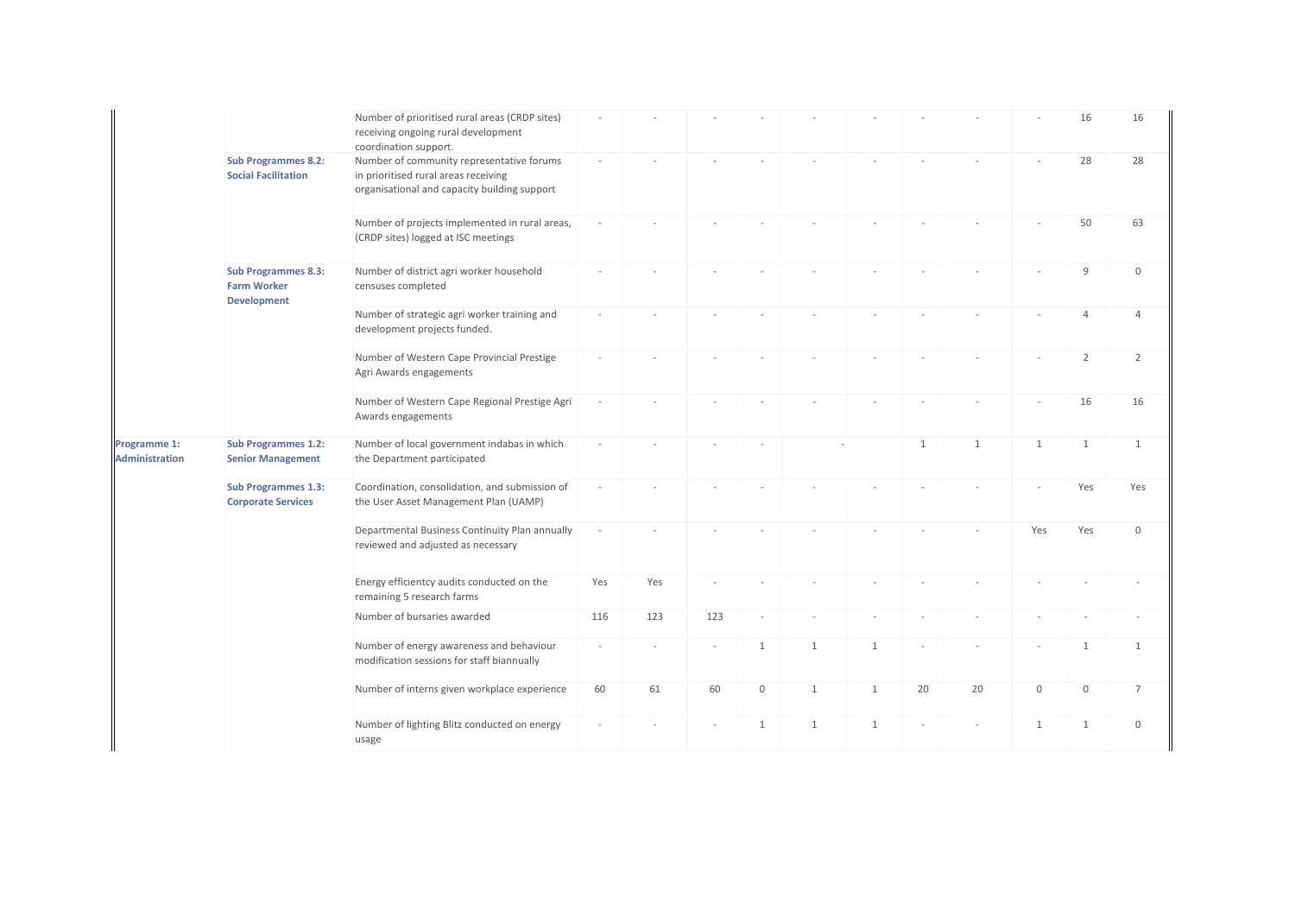|                                       |                                                                        | Number of prioritised rural areas (CRDP sites)<br>receiving ongoing rural development<br>coordination support.                    |                          |     |     |             |              |   |    |              |              | 16             | 16             |
|---------------------------------------|------------------------------------------------------------------------|-----------------------------------------------------------------------------------------------------------------------------------|--------------------------|-----|-----|-------------|--------------|---|----|--------------|--------------|----------------|----------------|
|                                       | <b>Sub Programmes 8.2:</b><br><b>Social Facilitation</b>               | Number of community representative forums<br>in prioritised rural areas receiving<br>organisational and capacity building support |                          |     |     |             |              |   |    |              |              | 28             | 28             |
|                                       |                                                                        | Number of projects implemented in rural areas,<br>(CRDP sites) logged at ISC meetings                                             |                          |     |     |             |              |   |    |              |              | 50             | 63             |
|                                       | <b>Sub Programmes 8.3:</b><br><b>Farm Worker</b><br><b>Development</b> | Number of district agri worker household<br>censuses completed                                                                    |                          |     |     |             |              |   |    |              |              | 9              | $\mathbf 0$    |
|                                       |                                                                        | Number of strategic agri worker training and<br>development projects funded.                                                      |                          |     |     |             |              |   |    |              |              | $\overline{4}$ | 4              |
|                                       |                                                                        | Number of Western Cape Provincial Prestige<br>Agri Awards engagements                                                             |                          |     |     |             |              |   |    |              |              | $\overline{2}$ | $\overline{2}$ |
|                                       |                                                                        | Number of Western Cape Regional Prestige Agri<br>Awards engagements                                                               |                          |     |     |             |              |   |    |              |              | 16             | 16             |
| Programme 1:<br><b>Administration</b> | <b>Sub Programmes 1.2:</b><br><b>Senior Management</b>                 | Number of local government indabas in which<br>the Department participated                                                        |                          |     |     |             |              |   | 1  | $\mathbf{1}$ | 1            | 1              | 1              |
|                                       | <b>Sub Programmes 1.3:</b><br><b>Corporate Services</b>                | Coordination, consolidation, and submission of<br>the User Asset Management Plan (UAMP)                                           |                          |     |     |             |              |   |    |              |              | Yes            | Yes            |
|                                       |                                                                        | Departmental Business Continuity Plan annually<br>reviewed and adjusted as necessary                                              | $\overline{\phantom{a}}$ |     |     |             |              |   |    |              | Yes          | Yes            | $\mathbf 0$    |
|                                       |                                                                        | Energy efficientcy audits conducted on the<br>remaining 5 research farms                                                          | Yes                      | Yes |     |             |              |   |    |              |              |                |                |
|                                       |                                                                        | Number of bursaries awarded                                                                                                       | 116                      | 123 | 123 |             |              |   |    |              |              |                |                |
|                                       |                                                                        | Number of energy awareness and behaviour<br>modification sessions for staff biannually                                            | ٠                        |     |     | 1           | 1            | 1 |    |              |              | 1              | $\mathbf{1}$   |
|                                       |                                                                        | Number of interns given workplace experience                                                                                      | 60                       | 61  | 60  | $\mathbf 0$ | 1            | 1 | 20 | 20           | $\mathbf 0$  | $\mathbf 0$    | $\overline{7}$ |
|                                       |                                                                        | Number of lighting Blitz conducted on energy<br>usage                                                                             |                          |     |     | 1           | $\mathbf{1}$ | 1 |    |              | $\mathbf{1}$ | 1              | $\mathbf 0$    |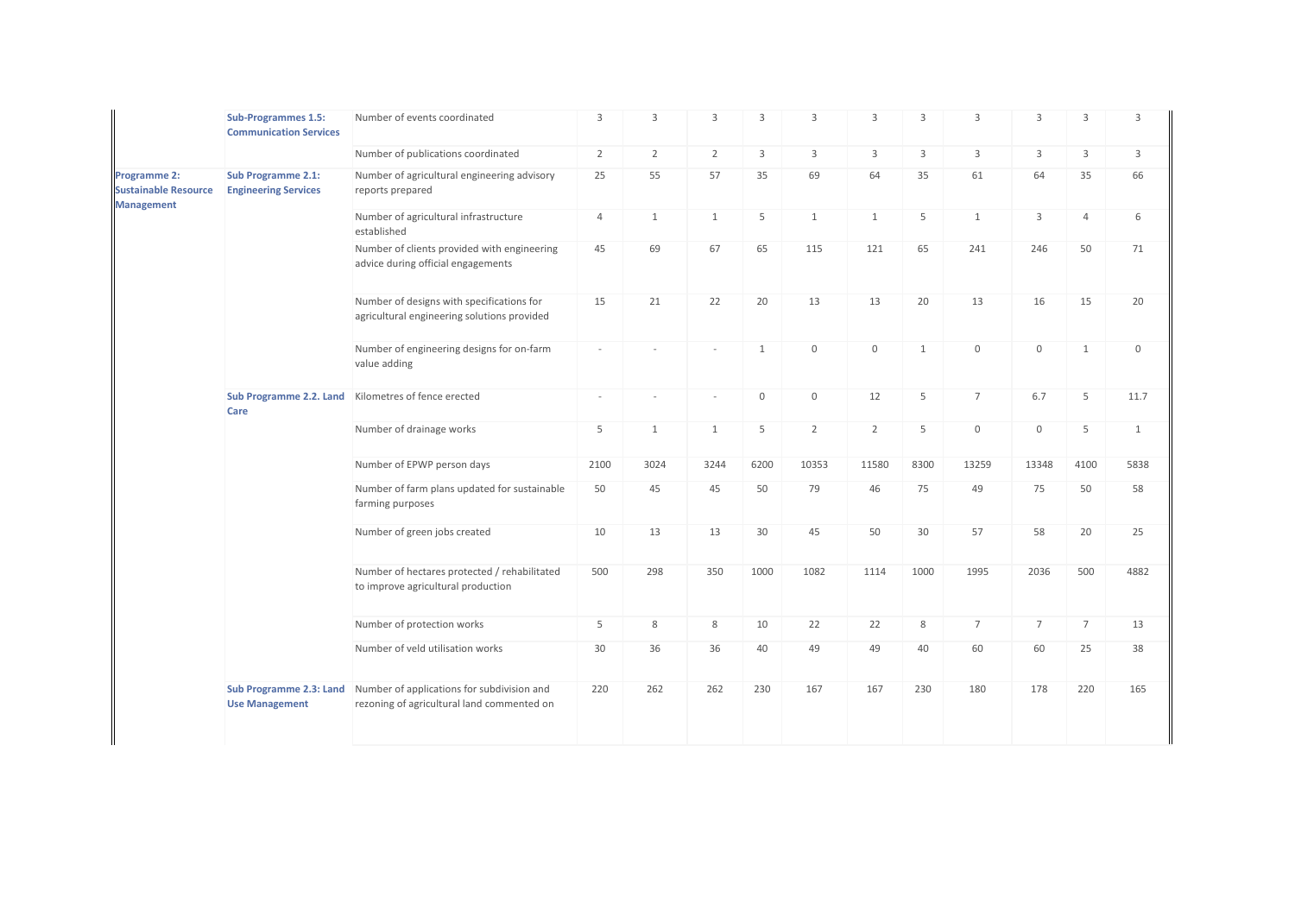|                                                                  |                                                             |                                                                                          | 3              | $\overline{3}$ | $\overline{3}$ | 3              | $\overline{3}$ | $\overline{3}$ | $\overline{3}$ | $\overline{3}$      | 3              | $\overline{3}$ | 3            |
|------------------------------------------------------------------|-------------------------------------------------------------|------------------------------------------------------------------------------------------|----------------|----------------|----------------|----------------|----------------|----------------|----------------|---------------------|----------------|----------------|--------------|
|                                                                  | <b>Sub-Programmes 1.5:</b><br><b>Communication Services</b> | Number of events coordinated                                                             |                |                |                |                |                |                |                |                     |                |                |              |
|                                                                  |                                                             | Number of publications coordinated                                                       | $\overline{2}$ | $\overline{2}$ | $\overline{2}$ | $\overline{3}$ | $\overline{3}$ | 3              | 3              | 3                   | 3              | 3              | 3            |
| Programme 2:<br><b>Sustainable Resource</b><br><b>Management</b> | Sub Programme 2.1:<br><b>Engineering Services</b>           | Number of agricultural engineering advisory<br>reports prepared                          | 25             | 55             | 57             | 35             | 69             | 64             | 35             | 61                  | 64             | 35             | 66           |
|                                                                  |                                                             | Number of agricultural infrastructure<br>established                                     | $\overline{4}$ | $\mathbf{1}$   | $\mathbf{1}$   | 5              | $\mathbf{1}$   | $\mathbf{1}$   | 5              | $\mathbf{1}$        | 3              | $\overline{4}$ | 6            |
|                                                                  |                                                             | Number of clients provided with engineering<br>advice during official engagements        | 45             | 69             | 67             | 65             | 115            | 121            | 65             | 241                 | 246            | 50             | 71           |
|                                                                  |                                                             | Number of designs with specifications for<br>agricultural engineering solutions provided | 15             | 21             | 22             | 20             | 13             | 13             | 20             | 13                  | 16             | 15             | 20           |
|                                                                  |                                                             | Number of engineering designs for on-farm<br>value adding                                |                |                |                | $\mathbf{1}$   | $\mathbf{0}$   | $\mathbf 0$    | $\mathbf{1}$   | $\mathbf{0}$        | $\mathbf{0}$   | $\mathbf{1}$   | $\mathbf 0$  |
|                                                                  | Care                                                        | Sub Programme 2.2. Land Kilometres of fence erected                                      |                |                |                | $\mathbf 0$    | $\mathbf 0$    | 12             | 5              | $\overline{7}$      | 6.7            | 5              | 11.7         |
|                                                                  |                                                             | Number of drainage works                                                                 | 5              | $\mathbf{1}$   | $\mathbf{1}$   | 5              | $\overline{2}$ | $\overline{2}$ | 5              | $\mathsf{O}\xspace$ | $\mathbf 0$    | 5              | $\mathbf{1}$ |
|                                                                  |                                                             | Number of EPWP person days                                                               | 2100           | 3024           | 3244           | 6200           | 10353          | 11580          | 8300           | 13259               | 13348          | 4100           | 5838         |
|                                                                  |                                                             | Number of farm plans updated for sustainable<br>farming purposes                         | 50             | 45             | 45             | 50             | 79             | 46             | 75             | 49                  | 75             | 50             | 58           |
|                                                                  |                                                             | Number of green jobs created                                                             | 10             | 13             | 13             | 30             | 45             | 50             | 30             | 57                  | 58             | 20             | 25           |
|                                                                  |                                                             | Number of hectares protected / rehabilitated<br>to improve agricultural production       | 500            | 298            | 350            | 1000           | 1082           | 1114           | 1000           | 1995                | 2036           | 500            | 4882         |
|                                                                  |                                                             | Number of protection works                                                               | 5              | 8              | 8              | 10             | 22             | 22             | 8              | $7\overline{ }$     | $\overline{7}$ | $\overline{7}$ | 13           |
|                                                                  |                                                             | Number of veld utilisation works                                                         | 30             | 36             | 36             | 40             | 49             | 49             | 40             | 60                  | 60             | 25             | 38           |
|                                                                  | <b>Sub Programme 2.3: Land</b><br><b>Use Management</b>     | Number of applications for subdivision and<br>rezoning of agricultural land commented on | 220            | 262            | 262            | 230            | 167            | 167            | 230            | 180                 | 178            | 220            | 165          |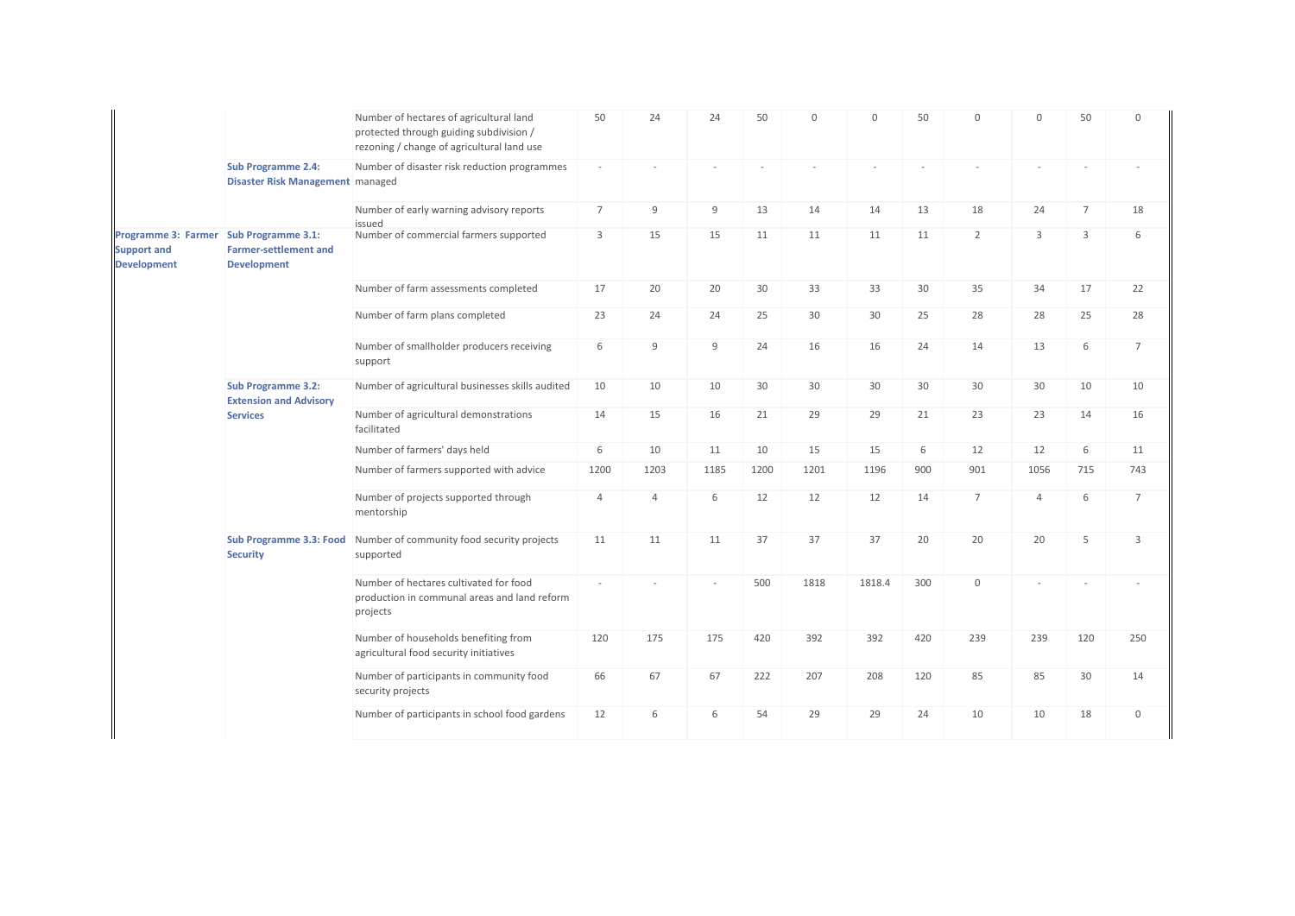|                                                                                    |                                                               | Number of hectares of agricultural land<br>protected through guiding subdivision /<br>rezoning / change of agricultural land use | 50             | 24   | 24   | 50   | $\Omega$ | $\Omega$ | 50  | $\Omega$       | $\Omega$ | 50             | $\mathbf{0}$   |
|------------------------------------------------------------------------------------|---------------------------------------------------------------|----------------------------------------------------------------------------------------------------------------------------------|----------------|------|------|------|----------|----------|-----|----------------|----------|----------------|----------------|
|                                                                                    | <b>Sub Programme 2.4:</b><br>Disaster Risk Management managed | Number of disaster risk reduction programmes                                                                                     | ٠              |      |      |      |          |          |     |                |          |                |                |
|                                                                                    |                                                               | Number of early warning advisory reports<br>issued                                                                               | $\overline{7}$ | 9    | 9    | 13   | 14       | 14       | 13  | 18             | 24       | $\overline{7}$ | 18             |
| Programme 3: Farmer Sub Programme 3.1:<br><b>Support and</b><br><b>Development</b> | <b>Farmer-settlement and</b><br><b>Development</b>            | Number of commercial farmers supported                                                                                           | 3              | 15   | 15   | 11   | 11       | 11       | 11  | $\overline{2}$ | 3        | 3              | 6              |
|                                                                                    |                                                               | Number of farm assessments completed                                                                                             | 17             | 20   | 20   | 30   | 33       | 33       | 30  | 35             | 34       | 17             | 22             |
|                                                                                    |                                                               | Number of farm plans completed                                                                                                   | 23             | 24   | 24   | 25   | 30       | 30       | 25  | 28             | 28       | 25             | 28             |
|                                                                                    |                                                               | Number of smallholder producers receiving<br>support                                                                             | 6              | 9    | 9    | 24   | 16       | 16       | 24  | 14             | 13       | 6              | $\overline{7}$ |
|                                                                                    | <b>Sub Programme 3.2:</b><br><b>Extension and Advisory</b>    | Number of agricultural businesses skills audited                                                                                 | 10             | 10   | 10   | 30   | 30       | 30       | 30  | 30             | 30       | 10             | 10             |
|                                                                                    | <b>Services</b>                                               | Number of agricultural demonstrations<br>facilitated                                                                             | 14             | 15   | 16   | 21   | 29       | 29       | 21  | 23             | 23       | 14             | 16             |
|                                                                                    |                                                               | Number of farmers' days held                                                                                                     | 6              | 10   | 11   | 10   | 15       | 15       | 6   | 12             | 12       | 6              | 11             |
|                                                                                    |                                                               | Number of farmers supported with advice                                                                                          | 1200           | 1203 | 1185 | 1200 | 1201     | 1196     | 900 | 901            | 1056     | 715            | 743            |
|                                                                                    |                                                               | Number of projects supported through<br>mentorship                                                                               | 4              | 4    | 6    | 12   | 12       | 12       | 14  | $\overline{7}$ | 4        | 6              | $\overline{7}$ |
|                                                                                    | <b>Security</b>                                               | Sub Programme 3.3: Food Number of community food security projects<br>supported                                                  | 11             | 11   | 11   | 37   | 37       | 37       | 20  | 20             | 20       | 5              | 3              |
|                                                                                    |                                                               | Number of hectares cultivated for food<br>production in communal areas and land reform<br>projects                               |                |      |      | 500  | 1818     | 1818.4   | 300 | $\mathbf 0$    |          |                |                |
|                                                                                    |                                                               | Number of households benefiting from<br>agricultural food security initiatives                                                   | 120            | 175  | 175  | 420  | 392      | 392      | 420 | 239            | 239      | 120            | 250            |
|                                                                                    |                                                               | Number of participants in community food<br>security projects                                                                    | 66             | 67   | 67   | 222  | 207      | 208      | 120 | 85             | 85       | 30             | 14             |
|                                                                                    |                                                               | Number of participants in school food gardens                                                                                    | 12             | 6    | 6    | 54   | 29       | 29       | 24  | 10             | 10       | 18             | $\mathbf 0$    |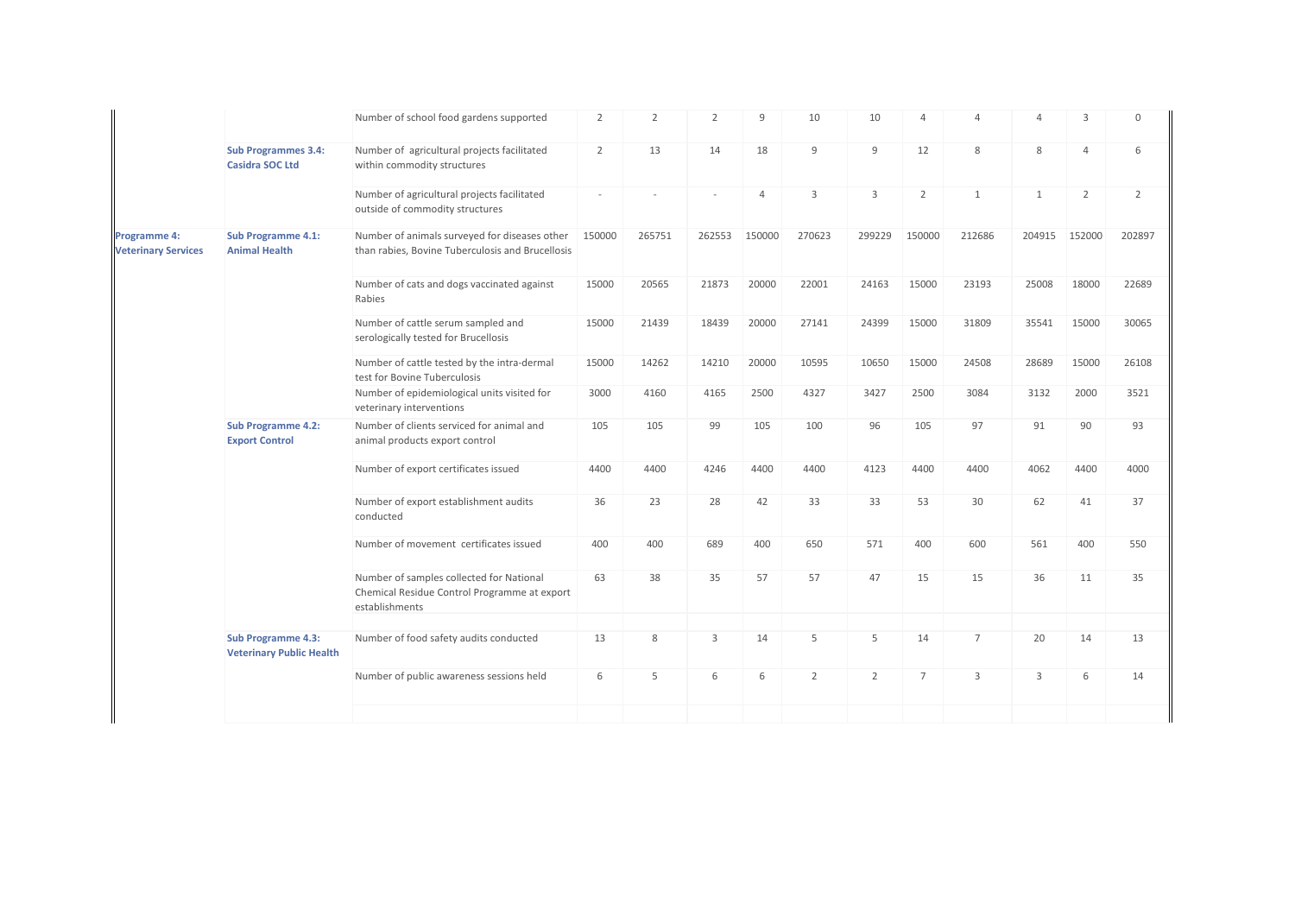|                                            |                                                              | Number of school food gardens supported                                                                    | 2      | $\overline{2}$ | $\overline{2}$ | 9        | 10     | 10             | 4              | $\Delta$       | $\Delta$     | 3              | $\mathbf{0}$   |
|--------------------------------------------|--------------------------------------------------------------|------------------------------------------------------------------------------------------------------------|--------|----------------|----------------|----------|--------|----------------|----------------|----------------|--------------|----------------|----------------|
|                                            | <b>Sub Programmes 3.4:</b><br><b>Casidra SOC Ltd</b>         | Number of agricultural projects facilitated<br>within commodity structures                                 | 2      | 13             | 14             | 18       | 9      | 9              | 12             | 8              | 8            | 4              | 6              |
|                                            |                                                              | Number of agricultural projects facilitated<br>outside of commodity structures                             |        |                |                | $\Delta$ | 3      | 3              | $\overline{2}$ | 1              | $\mathbf{1}$ | $\overline{2}$ | $\overline{2}$ |
| Programme 4:<br><b>Veterinary Services</b> | <b>Sub Programme 4.1:</b><br><b>Animal Health</b>            | Number of animals surveyed for diseases other<br>than rabies, Bovine Tuberculosis and Brucellosis          | 150000 | 265751         | 262553         | 150000   | 270623 | 299229         | 150000         | 212686         | 204915       | 152000         | 202897         |
|                                            |                                                              | Number of cats and dogs vaccinated against<br>Rabies                                                       | 15000  | 20565          | 21873          | 20000    | 22001  | 24163          | 15000          | 23193          | 25008        | 18000          | 22689          |
|                                            |                                                              | Number of cattle serum sampled and<br>serologically tested for Brucellosis                                 | 15000  | 21439          | 18439          | 20000    | 27141  | 24399          | 15000          | 31809          | 35541        | 15000          | 30065          |
|                                            |                                                              | Number of cattle tested by the intra-dermal<br>test for Bovine Tuberculosis                                | 15000  | 14262          | 14210          | 20000    | 10595  | 10650          | 15000          | 24508          | 28689        | 15000          | 26108          |
|                                            |                                                              | Number of epidemiological units visited for<br>veterinary interventions                                    | 3000   | 4160           | 4165           | 2500     | 4327   | 3427           | 2500           | 3084           | 3132         | 2000           | 3521           |
|                                            | <b>Sub Programme 4.2:</b><br><b>Export Control</b>           | Number of clients serviced for animal and<br>animal products export control                                | 105    | 105            | 99             | 105      | 100    | 96             | 105            | 97             | 91           | 90             | 93             |
|                                            |                                                              | Number of export certificates issued                                                                       | 4400   | 4400           | 4246           | 4400     | 4400   | 4123           | 4400           | 4400           | 4062         | 4400           | 4000           |
|                                            |                                                              | Number of export establishment audits<br>conducted                                                         | 36     | 23             | 28             | 42       | 33     | 33             | 53             | 30             | 62           | 41             | 37             |
|                                            |                                                              | Number of movement certificates issued                                                                     | 400    | 400            | 689            | 400      | 650    | 571            | 400            | 600            | 561          | 400            | 550            |
|                                            |                                                              | Number of samples collected for National<br>Chemical Residue Control Programme at export<br>establishments | 63     | 38             | 35             | 57       | 57     | 47             | 15             | 15             | 36           | 11             | 35             |
|                                            |                                                              |                                                                                                            |        |                |                |          |        |                |                |                |              |                |                |
|                                            | <b>Sub Programme 4.3:</b><br><b>Veterinary Public Health</b> | Number of food safety audits conducted                                                                     | 13     | 8              | $\overline{3}$ | 14       | 5      | 5              | 14             | $\overline{7}$ | 20           | 14             | 13             |
|                                            |                                                              | Number of public awareness sessions held                                                                   | 6      | 5              | 6              | 6        | 2      | $\overline{2}$ | $\overline{7}$ | 3              | 3            | 6              | 14             |
|                                            |                                                              |                                                                                                            |        |                |                |          |        |                |                |                |              |                |                |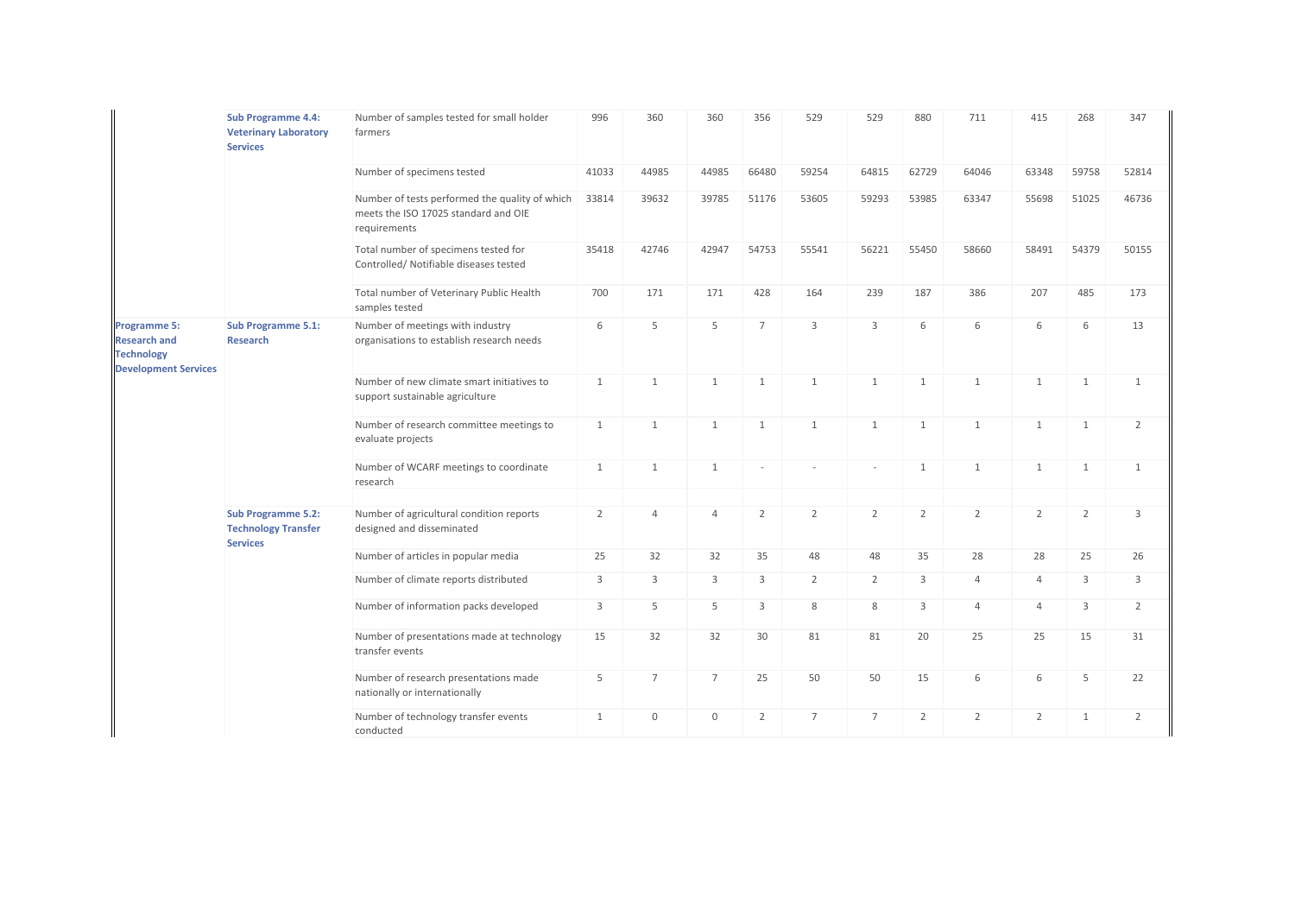|                                                                                         | <b>Sub Programme 4.4:</b><br><b>Veterinary Laboratory</b><br><b>Services</b> | Number of samples tested for small holder<br>farmers                                                   | 996            | 360             | 360            | 356            | 529            | 529            | 880            | 711            | 415            | 268            | 347            |
|-----------------------------------------------------------------------------------------|------------------------------------------------------------------------------|--------------------------------------------------------------------------------------------------------|----------------|-----------------|----------------|----------------|----------------|----------------|----------------|----------------|----------------|----------------|----------------|
|                                                                                         |                                                                              | Number of specimens tested                                                                             | 41033          | 44985           | 44985          | 66480          | 59254          | 64815          | 62729          | 64046          | 63348          | 59758          | 52814          |
|                                                                                         |                                                                              | Number of tests performed the quality of which<br>meets the ISO 17025 standard and OIE<br>requirements | 33814          | 39632           | 39785          | 51176          | 53605          | 59293          | 53985          | 63347          | 55698          | 51025          | 46736          |
|                                                                                         |                                                                              | Total number of specimens tested for<br>Controlled/ Notifiable diseases tested                         | 35418          | 42746           | 42947          | 54753          | 55541          | 56221          | 55450          | 58660          | 58491          | 54379          | 50155          |
|                                                                                         |                                                                              | Total number of Veterinary Public Health<br>samples tested                                             | 700            | 171             | 171            | 428            | 164            | 239            | 187            | 386            | 207            | 485            | 173            |
| Programme 5:<br><b>Research and</b><br><b>Technology</b><br><b>Development Services</b> | <b>Sub Programme 5.1:</b><br><b>Research</b>                                 | Number of meetings with industry<br>organisations to establish research needs                          | 6              | 5               | 5              | $\overline{7}$ | 3              | 3              | 6              | 6              | 6              | 6              | 13             |
|                                                                                         |                                                                              | Number of new climate smart initiatives to<br>support sustainable agriculture                          | 1              | $\mathbf{1}$    | $\mathbf{1}$   | 1              | 1              | 1              | 1              | $\mathbf{1}$   | $\mathbf{1}$   | 1              | $\mathbf{1}$   |
|                                                                                         |                                                                              | Number of research committee meetings to<br>evaluate projects                                          | 1              | $\mathbf{1}$    | $\mathbf{1}$   | 1              | $\mathbf{1}$   | 1              | 1              | $\mathbf{1}$   | $\mathbf{1}$   | $\mathbf{1}$   | $\overline{2}$ |
|                                                                                         |                                                                              | Number of WCARF meetings to coordinate<br>research                                                     | 1              | $\mathbf{1}$    | $\mathbf{1}$   |                |                |                | $\mathbf{1}$   | $\mathbf{1}$   | $\mathbf{1}$   | 1              | $\mathbf{1}$   |
|                                                                                         | <b>Sub Programme 5.2:</b><br><b>Technology Transfer</b><br><b>Services</b>   | Number of agricultural condition reports<br>designed and disseminated                                  | $\overline{2}$ | $\overline{4}$  | $\overline{4}$ | $\overline{2}$ | $\overline{2}$ | $\overline{2}$ | $\overline{2}$ | $\overline{2}$ | $\overline{2}$ | $\overline{2}$ | 3              |
|                                                                                         |                                                                              | Number of articles in popular media                                                                    | 25             | 32              | 32             | 35             | 48             | 48             | 35             | 28             | 28             | 25             | 26             |
|                                                                                         |                                                                              | Number of climate reports distributed                                                                  | 3              | 3               | 3              | 3              | $\overline{2}$ | $\overline{2}$ | 3              | $\overline{4}$ | $\overline{4}$ | 3              | 3              |
|                                                                                         |                                                                              | Number of information packs developed                                                                  | 3              | 5               | 5              | 3              | 8              | 8              | 3              | 4              | $\overline{4}$ | 3              | $\overline{2}$ |
|                                                                                         |                                                                              | Number of presentations made at technology<br>transfer events                                          | 15             | 32              | 32             | 30             | 81             | 81             | 20             | 25             | 25             | 15             | 31             |
|                                                                                         |                                                                              | Number of research presentations made<br>nationally or internationally                                 | 5              | $7\overline{ }$ | $\overline{7}$ | 25             | 50             | 50             | 15             | 6              | 6              | 5              | 22             |
|                                                                                         |                                                                              | Number of technology transfer events<br>conducted                                                      | 1              | $\mathbb O$     | $\mathbf 0$    | $\overline{2}$ | $\overline{7}$ | 7              | $\overline{2}$ | $\overline{2}$ | $\overline{2}$ | 1              | $\overline{2}$ |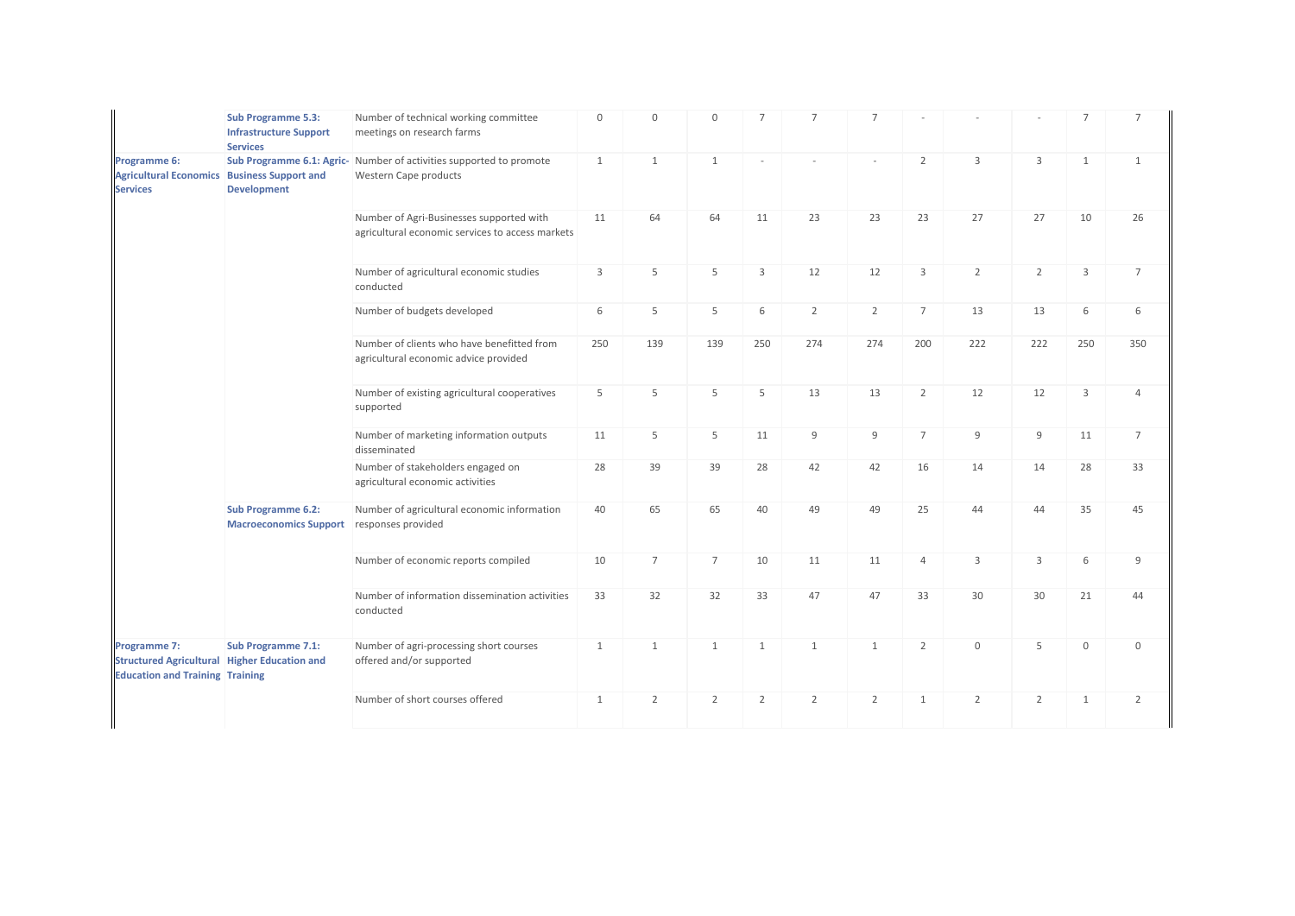|                                                                                                               | <b>Sub Programme 5.3:</b><br><b>Infrastructure Support</b><br><b>Services</b> | Number of technical working committee<br>meetings on research farms                          | $\mathbf{0}$ | $\mathbf{0}$   | $\mathbf{0}$   | $\overline{7}$ | 7              | 7              |                |                |                |              | $\overline{7}$ |
|---------------------------------------------------------------------------------------------------------------|-------------------------------------------------------------------------------|----------------------------------------------------------------------------------------------|--------------|----------------|----------------|----------------|----------------|----------------|----------------|----------------|----------------|--------------|----------------|
| Programme 6:<br><b>Agricultural Economics</b><br><b>Services</b>                                              | <b>Business Support and</b><br><b>Development</b>                             | Sub Programme 6.1: Agric- Number of activities supported to promote<br>Western Cape products | 1            | 1              | 1              |                |                |                | $\overline{2}$ | $\overline{3}$ | 3              | 1            | 1              |
|                                                                                                               |                                                                               | Number of Agri-Businesses supported with<br>agricultural economic services to access markets | 11           | 64             | 64             | 11             | 23             | 23             | 23             | 27             | 27             | 10           | 26             |
|                                                                                                               |                                                                               | Number of agricultural economic studies<br>conducted                                         | 3            | 5              | 5              | 3              | 12             | 12             | 3              | $\overline{2}$ | $\overline{2}$ | 3            | $\overline{7}$ |
|                                                                                                               |                                                                               | Number of budgets developed                                                                  | 6            | 5              | 5              | 6              | $\overline{2}$ | $\overline{2}$ | $\overline{7}$ | 13             | 13             | 6            | 6              |
|                                                                                                               |                                                                               | Number of clients who have benefitted from<br>agricultural economic advice provided          | 250          | 139            | 139            | 250            | 274            | 274            | 200            | 222            | 222            | 250          | 350            |
|                                                                                                               |                                                                               | Number of existing agricultural cooperatives<br>supported                                    | 5            | 5              | 5              | 5              | 13             | 13             | $\overline{2}$ | 12             | 12             | 3            | 4              |
|                                                                                                               |                                                                               | Number of marketing information outputs<br>disseminated                                      | 11           | 5              | 5              | 11             | 9              | 9              | $\overline{7}$ | 9              | 9              | 11           | $\overline{7}$ |
|                                                                                                               |                                                                               | Number of stakeholders engaged on<br>agricultural economic activities                        | 28           | 39             | 39             | 28             | 42             | 42             | 16             | 14             | 14             | 28           | 33             |
|                                                                                                               | Sub Programme 6.2:<br><b>Macroeconomics Support</b>                           | Number of agricultural economic information<br>responses provided                            | 40           | 65             | 65             | 40             | 49             | 49             | 25             | 44             | 44             | 35           | 45             |
|                                                                                                               |                                                                               | Number of economic reports compiled                                                          | 10           | $\overline{7}$ | $\overline{7}$ | 10             | 11             | 11             | $\overline{4}$ | 3              | 3              | 6            | 9              |
|                                                                                                               |                                                                               | Number of information dissemination activities<br>conducted                                  | 33           | 32             | 32             | 33             | 47             | 47             | 33             | 30             | 30             | 21           | 44             |
| Programme 7:<br><b>Structured Agricultural Higher Education and</b><br><b>Education and Training Training</b> | <b>Sub Programme 7.1:</b>                                                     | Number of agri-processing short courses<br>offered and/or supported                          | $\mathbf{1}$ | 1              | $\mathbf{1}$   | $\mathbf{1}$   | $\mathbf{1}$   | $\mathbf{1}$   | $\overline{2}$ | $\mathbb O$    | 5              | $\mathbf{0}$ | $\Omega$       |
|                                                                                                               |                                                                               | Number of short courses offered                                                              | $\mathbf{1}$ | $\overline{2}$ | 2              | $\overline{2}$ | 2              | $\overline{2}$ | 1              | $\overline{2}$ | $\overline{2}$ | 1            | $\overline{2}$ |